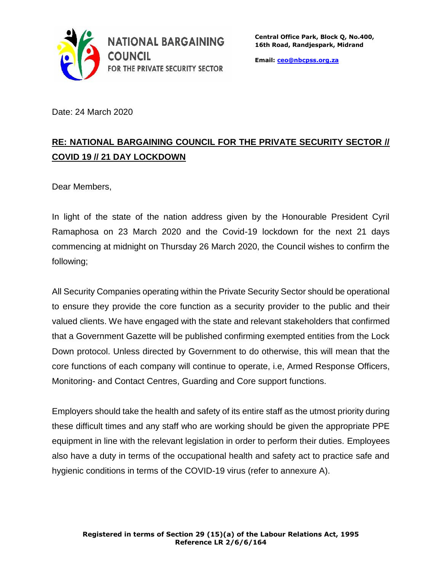

**Email: [ceo@nbcpss.org.za](mailto:ceo@nbcpss.org.za)**

Date: 24 March 2020

## **RE: NATIONAL BARGAINING COUNCIL FOR THE PRIVATE SECURITY SECTOR // COVID 19 // 21 DAY LOCKDOWN**

Dear Members,

In light of the state of the nation address given by the Honourable President Cyril Ramaphosa on 23 March 2020 and the Covid-19 lockdown for the next 21 days commencing at midnight on Thursday 26 March 2020, the Council wishes to confirm the following;

All Security Companies operating within the Private Security Sector should be operational to ensure they provide the core function as a security provider to the public and their valued clients. We have engaged with the state and relevant stakeholders that confirmed that a Government Gazette will be published confirming exempted entities from the Lock Down protocol. Unless directed by Government to do otherwise, this will mean that the core functions of each company will continue to operate, i.e, Armed Response Officers, Monitoring- and Contact Centres, Guarding and Core support functions.

Employers should take the health and safety of its entire staff as the utmost priority during these difficult times and any staff who are working should be given the appropriate PPE equipment in line with the relevant legislation in order to perform their duties. Employees also have a duty in terms of the occupational health and safety act to practice safe and hygienic conditions in terms of the COVID-19 virus (refer to annexure A).